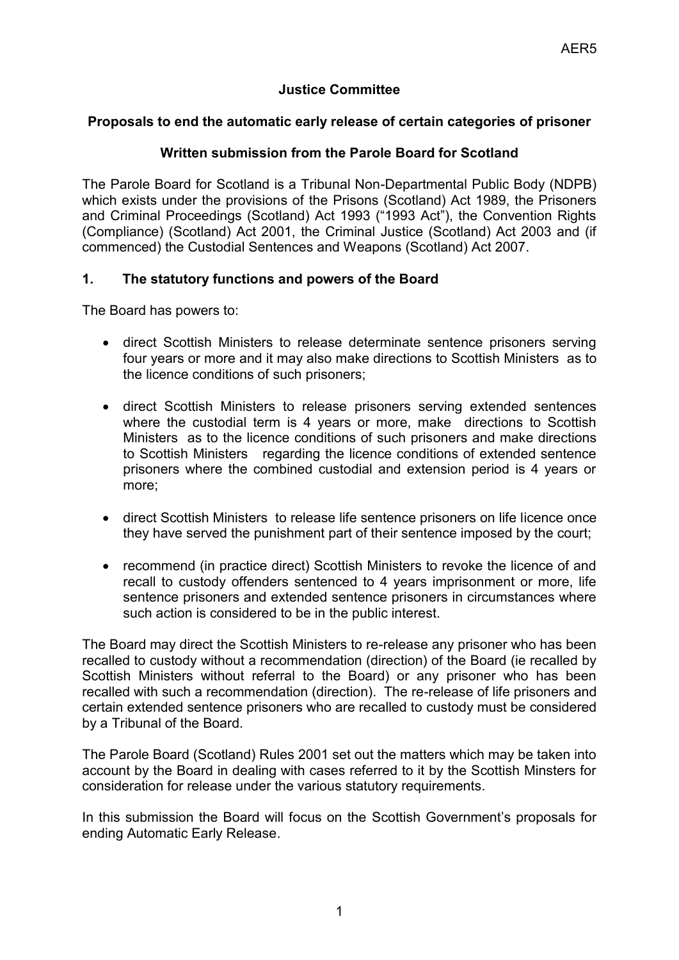# **Justice Committee**

#### **Proposals to end the automatic early release of certain categories of prisoner**

### **Written submission from the Parole Board for Scotland**

The Parole Board for Scotland is a Tribunal Non-Departmental Public Body (NDPB) which exists under the provisions of the Prisons (Scotland) Act 1989, the Prisoners and Criminal Proceedings (Scotland) Act 1993 ("1993 Act"), the Convention Rights (Compliance) (Scotland) Act 2001, the Criminal Justice (Scotland) Act 2003 and (if commenced) the Custodial Sentences and Weapons (Scotland) Act 2007.

#### **1. The statutory functions and powers of the Board**

The Board has powers to:

- direct Scottish Ministers to release determinate sentence prisoners serving four years or more and it may also make directions to Scottish Ministers as to the licence conditions of such prisoners;
- direct Scottish Ministers to release prisoners serving extended sentences where the custodial term is 4 years or more, make directions to Scottish Ministers as to the licence conditions of such prisoners and make directions to Scottish Ministers regarding the licence conditions of extended sentence prisoners where the combined custodial and extension period is 4 years or more;
- direct Scottish Ministers to release life sentence prisoners on life licence once they have served the punishment part of their sentence imposed by the court;
- recommend (in practice direct) Scottish Ministers to revoke the licence of and recall to custody offenders sentenced to 4 years imprisonment or more, life sentence prisoners and extended sentence prisoners in circumstances where such action is considered to be in the public interest.

The Board may direct the Scottish Ministers to re-release any prisoner who has been recalled to custody without a recommendation (direction) of the Board (ie recalled by Scottish Ministers without referral to the Board) or any prisoner who has been recalled with such a recommendation (direction). The re-release of life prisoners and certain extended sentence prisoners who are recalled to custody must be considered by a Tribunal of the Board.

The Parole Board (Scotland) Rules 2001 set out the matters which may be taken into account by the Board in dealing with cases referred to it by the Scottish Minsters for consideration for release under the various statutory requirements.

In this submission the Board will focus on the Scottish Government's proposals for ending Automatic Early Release.